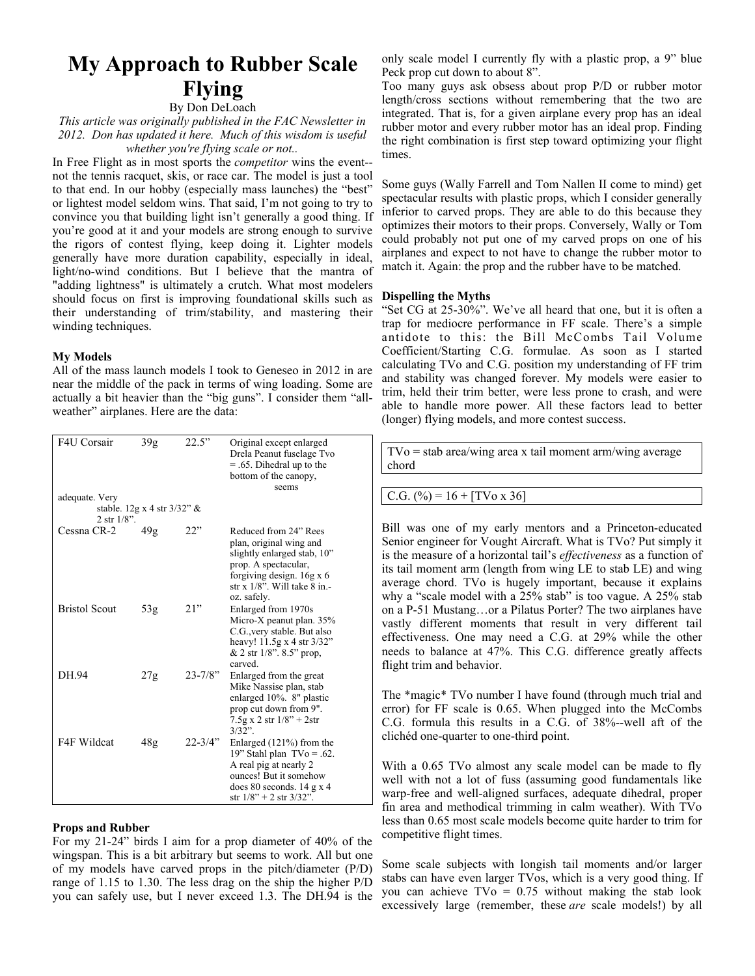# **My Approach to Rubber Scale Flying**

# By Don DeLoach

*This article was originally published in the FAC Newsletter in 2012. Don has updated it here. Much of this wisdom is useful whether you're flying scale or not..*

In Free Flight as in most sports the *competitor* wins the event- not the tennis racquet, skis, or race car. The model is just a tool to that end. In our hobby (especially mass launches) the "best" or lightest model seldom wins. That said, I'm not going to try to convince you that building light isn't generally a good thing. If you're good at it and your models are strong enough to survive the rigors of contest flying, keep doing it. Lighter models generally have more duration capability, especially in ideal, light/no-wind conditions. But I believe that the mantra of "adding lightness" is ultimately a crutch. What most modelers should focus on first is improving foundational skills such as their understanding of trim/stability, and mastering their winding techniques.

## **My Models**

All of the mass launch models I took to Geneseo in 2012 in are near the middle of the pack in terms of wing loading. Some are actually a bit heavier than the "big guns". I consider them "allweather" airplanes. Here are the data:

| F4U Corsair                           | 39 <sub>g</sub> | 22.5"        | Original except enlarged<br>Drela Peanut fuselage Tvo<br>$= .65$ . Dihedral up to the<br>bottom of the canopy,<br>seems                                                                  |  |  |  |  |
|---------------------------------------|-----------------|--------------|------------------------------------------------------------------------------------------------------------------------------------------------------------------------------------------|--|--|--|--|
| adequate. Very                        |                 |              |                                                                                                                                                                                          |  |  |  |  |
| stable. $12g \times 4$ str $3/32$ " & |                 |              |                                                                                                                                                                                          |  |  |  |  |
| 2 str $1/8$ ".                        |                 |              |                                                                                                                                                                                          |  |  |  |  |
| Cessna CR-2                           | 49g             | 22"          | Reduced from 24" Rees<br>plan, original wing and<br>slightly enlarged stab, 10"<br>prop. A spectacular,<br>forgiving design. 16g x 6<br>str x $1/8$ ". Will take $8$ in.-<br>oz. safely. |  |  |  |  |
| <b>Bristol Scout</b>                  | 53g             | 21"          | Enlarged from 1970s<br>Micro-X peanut plan. 35%<br>C.G., very stable. But also<br>heavy! 11.5g x 4 str 3/32"<br>$& 2 \text{ str } 1/8$ ". 8.5" prop.<br>carved.                          |  |  |  |  |
| DH.94                                 | 27g             | $23 - 7/8$ " | Enlarged from the great<br>Mike Nassise plan, stab<br>enlarged 10%. 8" plastic<br>prop cut down from 9".<br>$7.5g$ x 2 str $1/8" + 2str$<br>$3/32$ ".                                    |  |  |  |  |
| F4F Wildcat                           | 48g             | $22 - 3/4$ " | Enlarged $(121\%)$ from the<br>19" Stahl plan $TVo = .62$ .<br>A real pig at nearly 2<br>ounces! But it somehow<br>does 80 seconds. $14$ g x 4<br>str $1/8$ " + 2 str $3/32$ ".          |  |  |  |  |

## **Props and Rubber**

For my 21-24" birds I aim for a prop diameter of 40% of the wingspan. This is a bit arbitrary but seems to work. All but one of my models have carved props in the pitch/diameter (P/D) range of 1.15 to 1.30. The less drag on the ship the higher P/D you can safely use, but I never exceed 1.3. The DH.94 is the

only scale model I currently fly with a plastic prop, a 9" blue Peck prop cut down to about 8".

Too many guys ask obsess about prop P/D or rubber motor length/cross sections without remembering that the two are integrated. That is, for a given airplane every prop has an ideal rubber motor and every rubber motor has an ideal prop. Finding the right combination is first step toward optimizing your flight times.

Some guys (Wally Farrell and Tom Nallen II come to mind) get spectacular results with plastic props, which I consider generally inferior to carved props. They are able to do this because they optimizes their motors to their props. Conversely, Wally or Tom could probably not put one of my carved props on one of his airplanes and expect to not have to change the rubber motor to match it. Again: the prop and the rubber have to be matched.

## **Dispelling the Myths**

"Set CG at 25-30%". We've all heard that one, but it is often a trap for mediocre performance in FF scale. There's a simple antidote to this: the Bill McCombs Tail Volume Coefficient/Starting C.G. formulae. As soon as I started calculating TVo and C.G. position my understanding of FF trim and stability was changed forever. My models were easier to trim, held their trim better, were less prone to crash, and were able to handle more power. All these factors lead to better (longer) flying models, and more contest success.

 $TVo =$  stab area/wing area x tail moment arm/wing average chord

# C.G.  $(\%)=16 + [TV_0 \times 36]$

Bill was one of my early mentors and a Princeton-educated Senior engineer for Vought Aircraft. What is TVo? Put simply it is the measure of a horizontal tail's *effectiveness* as a function of its tail moment arm (length from wing LE to stab LE) and wing average chord. TVo is hugely important, because it explains why a "scale model with a 25% stab" is too vague. A 25% stab on a P-51 Mustang…or a Pilatus Porter? The two airplanes have vastly different moments that result in very different tail effectiveness. One may need a C.G. at 29% while the other needs to balance at 47%. This C.G. difference greatly affects flight trim and behavior.

The \*magic\* TVo number I have found (through much trial and error) for FF scale is 0.65. When plugged into the McCombs C.G. formula this results in a C.G. of 38%--well aft of the clichéd one-quarter to one-third point.

With a 0.65 TVo almost any scale model can be made to fly well with not a lot of fuss (assuming good fundamentals like warp-free and well-aligned surfaces, adequate dihedral, proper fin area and methodical trimming in calm weather). With TVo less than 0.65 most scale models become quite harder to trim for competitive flight times.

Some scale subjects with longish tail moments and/or larger stabs can have even larger TVos, which is a very good thing. If you can achieve TVo = 0.75 without making the stab look excessively large (remember, these *are* scale models!) by all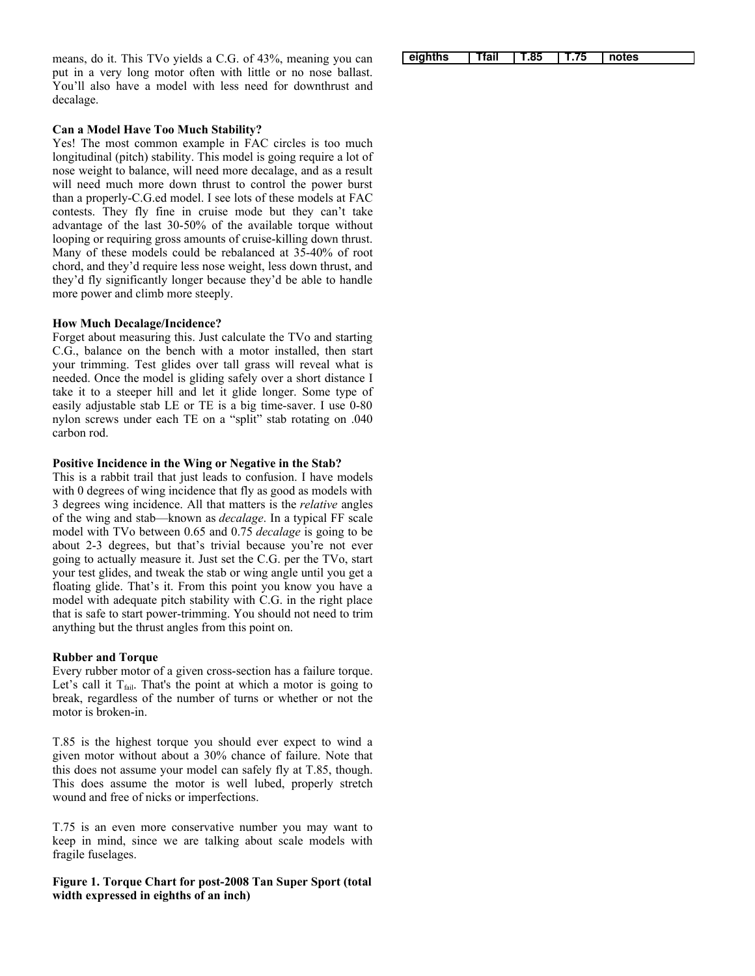means, do it. This TVo yields a C.G. of 43%, meaning you can put in a very long motor often with little or no nose ballast. You'll also have a model with less need for downthrust and decalage.

#### **Can a Model Have Too Much Stability?**

Yes! The most common example in FAC circles is too much longitudinal (pitch) stability. This model is going require a lot of nose weight to balance, will need more decalage, and as a result will need much more down thrust to control the power burst than a properly-C.G.ed model. I see lots of these models at FAC contests. They fly fine in cruise mode but they can't take advantage of the last 30-50% of the available torque without looping or requiring gross amounts of cruise-killing down thrust. Many of these models could be rebalanced at 35-40% of root chord, and they'd require less nose weight, less down thrust, and they'd fly significantly longer because they'd be able to handle more power and climb more steeply.

#### **How Much Decalage/Incidence?**

Forget about measuring this. Just calculate the TVo and starting C.G., balance on the bench with a motor installed, then start your trimming. Test glides over tall grass will reveal what is needed. Once the model is gliding safely over a short distance I take it to a steeper hill and let it glide longer. Some type of easily adjustable stab LE or TE is a big time-saver. I use 0-80 nylon screws under each TE on a "split" stab rotating on .040 carbon rod.

#### **Positive Incidence in the Wing or Negative in the Stab?**

This is a rabbit trail that just leads to confusion. I have models with 0 degrees of wing incidence that fly as good as models with 3 degrees wing incidence. All that matters is the *relative* angles of the wing and stab—known as *decalage*. In a typical FF scale model with TVo between 0.65 and 0.75 *decalage* is going to be about 2-3 degrees, but that's trivial because you're not ever going to actually measure it. Just set the C.G. per the TVo, start your test glides, and tweak the stab or wing angle until you get a floating glide. That's it. From this point you know you have a model with adequate pitch stability with C.G. in the right place that is safe to start power-trimming. You should not need to trim anything but the thrust angles from this point on.

## **Rubber and Torque**

Every rubber motor of a given cross-section has a failure torque. Let's call it  $T_{fail}$ . That's the point at which a motor is going to break, regardless of the number of turns or whether or not the motor is broken-in.

T.85 is the highest torque you should ever expect to wind a given motor without about a 30% chance of failure. Note that this does not assume your model can safely fly at T.85, though. This does assume the motor is well lubed, properly stretch wound and free of nicks or imperfections.

T.75 is an even more conservative number you may want to keep in mind, since we are talking about scale models with fragile fuselages.

**Figure 1. Torque Chart for post-2008 Tan Super Sport (total width expressed in eighths of an inch)**

**eighths Tfail T.85 T.75 notes**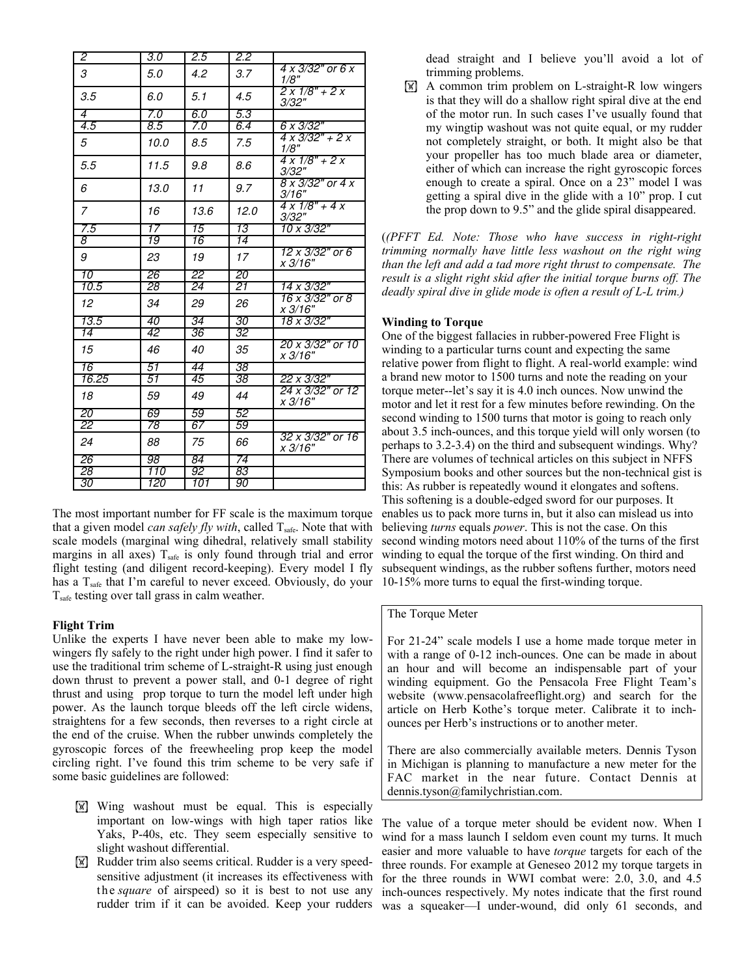| $\overline{2}$   | 3.0              | 2.5             | 2.2             |                                         |
|------------------|------------------|-----------------|-----------------|-----------------------------------------|
| 3                | 5.0              | 4.2             | 3.7             | 4 x 3/32" or 6 x<br>1/8"                |
| 3.5              | 6.0              | 5.1             | 4.5             | $2x1/8" + 2x$<br>3/32"                  |
| $\overline{4}$   | 7.0              | 6.0             | 5.3             |                                         |
| $\overline{4.5}$ | $\overline{8.5}$ | 7.0             | 6.4             | 6 x 3/32"                               |
| 5                | 10.0             | 8.5             | 7.5             | $4 \times 3/32" + 2 \times$<br>1/8"     |
| 5.5              | 11.5             | 9.8             | 8.6             | $4 \times 1/8" + 2 \times$<br>3/32"     |
| 6                | 13.0             | 11              | 9.7             | $8 \times 3/32"$ or $4 \times$<br>3/16" |
| 7                | 16               | 13.6            | 12.0            | $4 \times 1/8" + 4 \times$<br>3/32"     |
| 7.5              | 17               | 15              | 13              | 10 x 3/32"                              |
| $\overline{s}$   | 19               | 16              | 14              |                                         |
| 9                | 23               | 19              | 17              | 12 x 3/32" or 6<br>x 3/16"              |
| 10               | 26               | 22              | 20              |                                         |
| 10.5             | 28               | 24              | 21              | $14 \times 3/32"$                       |
| 12               | 34               | 29              | 26              | 16 x 3/32" or 8<br>x 3/16"              |
| 13.5             | 40               | 34              | 30              | 18 x 3/32"                              |
| $\overline{14}$  | 42               | 36              | 32              |                                         |
| 15               | 46               | 40              | 35              | 20 x 3/32" or 10<br>x 3/16"             |
| 16               | 51               | 44              | 38              |                                         |
| 16.25            | 51               | 45              | $\overline{38}$ | 22 x 3/32"                              |
| 18               | 59               | 49              | 44              | 24 x 3/32" or 12<br>x 3/16"             |
| 20               | 69               | 59              | 52              |                                         |
| $\overline{22}$  | 78               | $\overline{67}$ | 59              |                                         |
| 24               | 88               | 75              | 66              | 32 x 3/32" or 16<br>x 3/16"             |
| 26               | 98               | 84              | 74              |                                         |
| $\overline{28}$  | 110              | 92              | 83              |                                         |
| 30               | 120              | 101             | 90              |                                         |

The most important number for FF scale is the maximum torque that a given model *can safely fly with*, called T<sub>safe</sub>. Note that with scale models (marginal wing dihedral, relatively small stability margins in all axes)  $T_{\text{safe}}$  is only found through trial and error flight testing (and diligent record-keeping). Every model I fly has a T<sub>safe</sub> that I'm careful to never exceed. Obviously, do your 10-15% more turns to equal the first-winding torque. Tsafe testing over tall grass in calm weather.

#### **Flight Trim**

Unlike the experts I have never been able to make my lowwingers fly safely to the right under high power. I find it safer to use the traditional trim scheme of L-straight-R using just enough down thrust to prevent a power stall, and 0-1 degree of right thrust and using prop torque to turn the model left under high power. As the launch torque bleeds off the left circle widens, straightens for a few seconds, then reverses to a right circle at the end of the cruise. When the rubber unwinds completely the gyroscopic forces of the freewheeling prop keep the model circling right. I've found this trim scheme to be very safe if some basic guidelines are followed:

- **W** Wing washout must be equal. This is especially important on low-wings with high taper ratios like Yaks, P-40s, etc. They seem especially sensitive to slight washout differential.
- **[W]** Rudder trim also seems critical. Rudder is a very speedsensitive adjustment (it increases its effectiveness with the *square* of airspeed) so it is best to not use any rudder trim if it can be avoided. Keep your rudders

dead straight and I believe you'll avoid a lot of trimming problems.

 $\mathbb{R}$  A common trim problem on L-straight-R low wingers is that they will do a shallow right spiral dive at the end of the motor run. In such cases I've usually found that my wingtip washout was not quite equal, or my rudder not completely straight, or both. It might also be that your propeller has too much blade area or diameter, either of which can increase the right gyroscopic forces enough to create a spiral. Once on a 23" model I was getting a spiral dive in the glide with a 10" prop. I cut the prop down to 9.5" and the glide spiral disappeared.

(*(PFFT Ed. Note: Those who have success in right-right trimming normally have little less washout on the right wing than the left and add a tad more right thrust to compensate. The result is a slight right skid after the initial torque burns off. The deadly spiral dive in glide mode is often a result of L-L trim.)*

#### **Winding to Torque**

One of the biggest fallacies in rubber-powered Free Flight is winding to a particular turns count and expecting the same relative power from flight to flight. A real-world example: wind a brand new motor to 1500 turns and note the reading on your torque meter--let's say it is 4.0 inch ounces. Now unwind the motor and let it rest for a few minutes before rewinding. On the second winding to 1500 turns that motor is going to reach only about 3.5 inch-ounces, and this torque yield will only worsen (to perhaps to 3.2-3.4) on the third and subsequent windings. Why? There are volumes of technical articles on this subject in NFFS Symposium books and other sources but the non-technical gist is this: As rubber is repeatedly wound it elongates and softens. This softening is a double-edged sword for our purposes. It enables us to pack more turns in, but it also can mislead us into believing *turns* equals *power*. This is not the case. On this second winding motors need about 110% of the turns of the first winding to equal the torque of the first winding. On third and subsequent windings, as the rubber softens further, motors need

#### The Torque Meter

For 21-24" scale models I use a home made torque meter in with a range of 0-12 inch-ounces. One can be made in about an hour and will become an indispensable part of your winding equipment. Go the Pensacola Free Flight Team's website (www.pensacolafreeflight.org) and search for the article on Herb Kothe's torque meter. Calibrate it to inchounces per Herb's instructions or to another meter.

There are also commercially available meters. Dennis Tyson in Michigan is planning to manufacture a new meter for the FAC market in the near future. Contact Dennis at dennis.tyson@familychristian.com.

The value of a torque meter should be evident now. When I wind for a mass launch I seldom even count my turns. It much easier and more valuable to have *torque* targets for each of the three rounds. For example at Geneseo 2012 my torque targets in for the three rounds in WWI combat were: 2.0, 3.0, and 4.5 inch-ounces respectively. My notes indicate that the first round was a squeaker—I under-wound, did only 61 seconds, and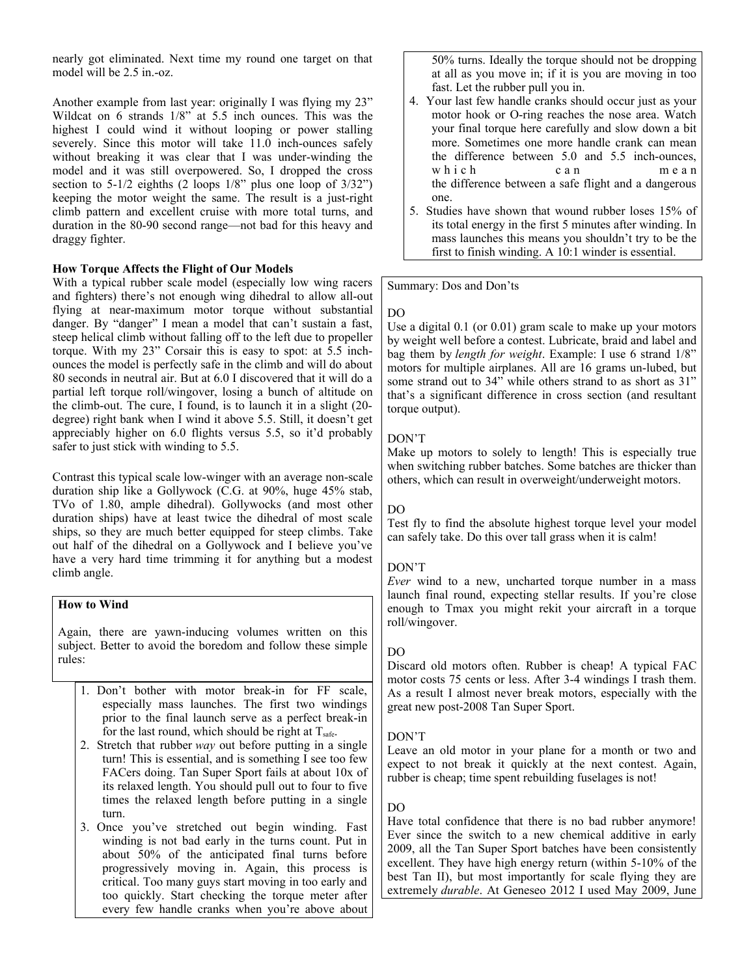nearly got eliminated. Next time my round one target on that model will be 2.5 in.-oz.

Another example from last year: originally I was flying my 23" Wildcat on 6 strands 1/8" at 5.5 inch ounces. This was the highest I could wind it without looping or power stalling severely. Since this motor will take 11.0 inch-ounces safely without breaking it was clear that I was under-winding the model and it was still overpowered. So, I dropped the cross section to  $5-1/2$  eighths (2 loops  $1/8$ " plus one loop of  $3/32$ ") keeping the motor weight the same. The result is a just-right climb pattern and excellent cruise with more total turns, and duration in the 80-90 second range—not bad for this heavy and draggy fighter.

# **How Torque Affects the Flight of Our Models**

With a typical rubber scale model (especially low wing racers and fighters) there's not enough wing dihedral to allow all-out flying at near-maximum motor torque without substantial danger. By "danger" I mean a model that can't sustain a fast, steep helical climb without falling off to the left due to propeller torque. With my 23" Corsair this is easy to spot: at 5.5 inchounces the model is perfectly safe in the climb and will do about 80 seconds in neutral air. But at 6.0 I discovered that it will do a partial left torque roll/wingover, losing a bunch of altitude on the climb-out. The cure, I found, is to launch it in a slight (20 degree) right bank when I wind it above 5.5. Still, it doesn't get appreciably higher on 6.0 flights versus 5.5, so it'd probably safer to just stick with winding to 5.5.

Contrast this typical scale low-winger with an average non-scale duration ship like a Gollywock (C.G. at 90%, huge 45% stab, TVo of 1.80, ample dihedral). Gollywocks (and most other duration ships) have at least twice the dihedral of most scale ships, so they are much better equipped for steep climbs. Take out half of the dihedral on a Gollywock and I believe you've have a very hard time trimming it for anything but a modest climb angle.

## **How to Wind**

Again, there are yawn-inducing volumes written on this subject. Better to avoid the boredom and follow these simple rules:

- 1. Don't bother with motor break-in for FF scale, especially mass launches. The first two windings prior to the final launch serve as a perfect break-in for the last round, which should be right at  $T_{\text{safe}}$ .
- 2. Stretch that rubber *way* out before putting in a single turn! This is essential, and is something I see too few FACers doing. Tan Super Sport fails at about 10x of its relaxed length. You should pull out to four to five times the relaxed length before putting in a single turn.
- 3. Once you've stretched out begin winding. Fast winding is not bad early in the turns count. Put in about 50% of the anticipated final turns before progressively moving in. Again, this process is critical. Too many guys start moving in too early and too quickly. Start checking the torque meter after every few handle cranks when you're above about

50% turns. Ideally the torque should not be dropping at all as you move in; if it is you are moving in too fast. Let the rubber pull you in.

- 4. Your last few handle cranks should occur just as your motor hook or O-ring reaches the nose area. Watch your final torque here carefully and slow down a bit more. Sometimes one more handle crank can mean the difference between 5.0 and 5.5 inch-ounces, which can mean the difference between a safe flight and a dangerous one.
- 5. Studies have shown that wound rubber loses 15% of its total energy in the first 5 minutes after winding. In mass launches this means you shouldn't try to be the first to finish winding. A 10:1 winder is essential.

## Summary: Dos and Don'ts

## DO

Use a digital 0.1 (or 0.01) gram scale to make up your motors by weight well before a contest. Lubricate, braid and label and bag them by *length for weight*. Example: I use 6 strand 1/8" motors for multiple airplanes. All are 16 grams un-lubed, but some strand out to 34" while others strand to as short as 31" that's a significant difference in cross section (and resultant torque output).

## DON'T

Make up motors to solely to length! This is especially true when switching rubber batches. Some batches are thicker than others, which can result in overweight/underweight motors.

# DO

Test fly to find the absolute highest torque level your model can safely take. Do this over tall grass when it is calm!

## DON'T

*Ever* wind to a new, uncharted torque number in a mass launch final round, expecting stellar results. If you're close enough to Tmax you might rekit your aircraft in a torque roll/wingover.

# DO

Discard old motors often. Rubber is cheap! A typical FAC motor costs 75 cents or less. After 3-4 windings I trash them. As a result I almost never break motors, especially with the great new post-2008 Tan Super Sport.

## DON'T

Leave an old motor in your plane for a month or two and expect to not break it quickly at the next contest. Again, rubber is cheap; time spent rebuilding fuselages is not!

# DO

Have total confidence that there is no bad rubber anymore! Ever since the switch to a new chemical additive in early 2009, all the Tan Super Sport batches have been consistently excellent. They have high energy return (within 5-10% of the best Tan II), but most importantly for scale flying they are extremely *durable*. At Geneseo 2012 I used May 2009, June